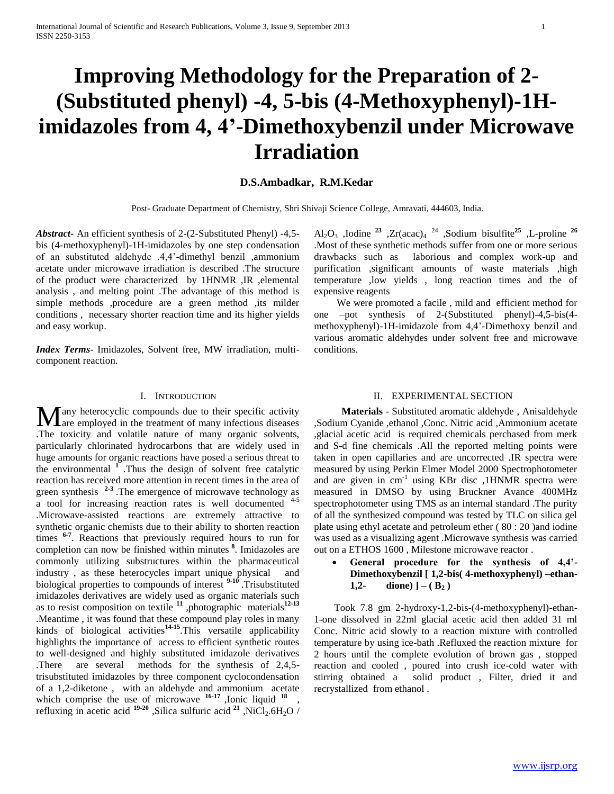# **Improving Methodology for the Preparation of 2- (Substituted phenyl) -4, 5-bis (4-Methoxyphenyl)-1Himidazoles from 4, 4'-Dimethoxybenzil under Microwave Irradiation**

# **D.S.Ambadkar, R.M.Kedar**

Post- Graduate Department of Chemistry, Shri Shivaji Science College, Amravati, 444603, India.

*Abstract***-** An efficient synthesis of 2-(2-Substituted Phenyl) -4,5 bis (4-methoxyphenyl)-1H-imidazoles by one step condensation of an substituted aldehyde .4,4'-dimethyl benzil ,ammonium acetate under microwave irradiation is described .The structure of the product were characterized by 1HNMR ,IR ,elemental analysis , and melting point .The advantage of this method is simple methods ,procedure are a green method ,its milder conditions , necessary shorter reaction time and its higher yields and easy workup.

*Index Terms*- Imidazoles, Solvent free, MW irradiation, multicomponent reaction.

# Al2O<sup>3</sup> ,Iodine **<sup>23</sup>** ,Zr(acac)<sup>4</sup> <sup>24</sup> ,Sodium bisulfite**<sup>25</sup>** ,L-proline **<sup>26</sup>** .Most of these synthetic methods suffer from one or more serious drawbacks such as laborious and complex work-up and purification ,significant amounts of waste materials ,high temperature ,low yields , long reaction times and the of expensive reagents

 We were promoted a facile , mild and efficient method for one –pot synthesis of 2-(Substituted phenyl)-4,5-bis(4 methoxyphenyl)-1H-imidazole from 4,4'-Dimethoxy benzil and various aromatic aldehydes under solvent free and microwave conditions.

### I. INTRODUCTION

any heterocyclic compounds due to their specific activity **M** any heterocyclic compounds due to their specific activity are employed in the treatment of many infectious diseases .The toxicity and volatile nature of many organic solvents, particularly chlorinated hydrocarbons that are widely used in huge amounts for organic reactions have posed a serious threat to the environmental **<sup>1</sup>** .Thus the design of solvent free catalytic reaction has received more attention in recent times in the area of green synthesis **2-3** .The emergence of microwave technology as a tool for increasing reaction rates is well documented <sup>4-5</sup> .Microwave-assisted reactions are extremely attractive to synthetic organic chemists due to their ability to shorten reaction times **6-7** . Reactions that previously required hours to run for completion can now be finished within minutes **<sup>8</sup>** . Imidazoles are commonly utilizing substructures within the pharmaceutical industry , as these heterocycles impart unique physical and biological properties to compounds of interest **9-10** .Trisubstituted imidazoles derivatives are widely used as organic materials such as to resist composition on textile **<sup>11</sup>** ,photographic materials**12-13**  .Meantime , it was found that these compound play roles in many kinds of biological activities**14-15**.This versatile applicability highlights the importance of access to efficient synthetic routes to well-designed and highly substituted imidazole derivatives .There are several methods for the synthesis of 2,4,5 trisubstituted imidazoles by three component cyclocondensation of a 1,2-diketone , with an aldehyde and ammonium acetate which comprise the use of microwave  $16-17$ , Ionic liquid  $18$ , refluxing in acetic acid  $19-20$ , Silica sulfuric acid  $21$ , NiCl<sub>2</sub>.6H<sub>2</sub>O /

## II. EXPERIMENTAL SECTION

 **Materials** - Substituted aromatic aldehyde , Anisaldehyde ,Sodium Cyanide ,ethanol ,Conc. Nitric acid ,Ammonium acetate ,glacial acetic acid is required chemicals perchased from merk and S-d fine chemicals .All the reported melting points were taken in open capillaries and are uncorrected .IR spectra were measured by using Perkin Elmer Model 2000 Spectrophotometer and are given in cm<sup>-1</sup> using KBr disc ,1HNMR spectra were measured in DMSO by using Bruckner Avance 400MHz spectrophotometer using TMS as an internal standard .The purity of all the synthesized compound was tested by TLC on silica gel plate using ethyl acetate and petroleum ether ( 80 : 20 )and iodine was used as a visualizing agent .Microwave synthesis was carried out on a ETHOS 1600 , Milestone microwave reactor .

 **General procedure for the synthesis of 4,4'- Dimethoxybenzil [ 1,2-bis( 4-methoxyphenyl) –ethan-**1,2- **dione**)  $] - (B_2)$ 

 Took 7.8 gm 2-hydroxy-1,2-bis-(4-methoxyphenyl)-ethan-1-one dissolved in 22ml glacial acetic acid then added 31 ml Conc. Nitric acid slowly to a reaction mixture with controlled temperature by using ice-bath .Refluxed the reaction mixture for 2 hours until the complete evolution of brown gas , stopped reaction and cooled , poured into crush ice-cold water with stirring obtained a solid product , Filter, dried it and recrystallized from ethanol .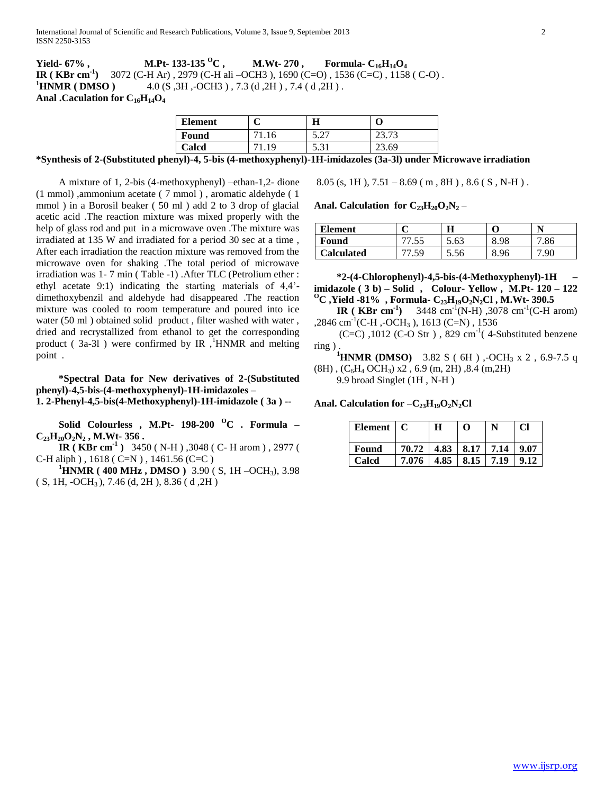**Yield- 67% , M.Pt- 133-135 <sup>O</sup>C , M.Wt- 270 , Formula- C16H14O<sup>4</sup> IR ( KBr cm-1 )** 3072 (C-H Ar) , 2979 (C-H ali –OCH3 ), 1690 (C=O) , 1536 (C=C) , 1158 ( C-O) . **<sup>1</sup>HNMR ( DMSO )** 4.0 (S, 3H, -OCH3), 7.3 (d, 2H), 7.4 (d, 2H). **Anal .Caculation for C16H14O<sup>4</sup>**

| <b>Element</b> | Н                        |               |
|----------------|--------------------------|---------------|
| Found          | $\mathcal{L}$<br>ا ہے، پ | 72<br>ل ا د ت |
| Calcd          | 5.31                     | $-3.69$       |

**\*Synthesis of 2-(Substituted phenyl)-4, 5-bis (4-methoxyphenyl)-1H-imidazoles (3a-3l) under Microwave irradiation** 

 A mixture of 1, 2-bis (4-methoxyphenyl) –ethan-1,2- dione (1 mmol) ,ammonium acetate ( 7 mmol ) , aromatic aldehyde ( 1 mmol ) in a Borosil beaker ( 50 ml ) add 2 to 3 drop of glacial acetic acid .The reaction mixture was mixed properly with the help of glass rod and put in a microwave oven .The mixture was irradiated at 135 W and irradiated for a period 30 sec at a time , After each irradiation the reaction mixture was removed from the microwave oven for shaking .The total period of microwave irradiation was 1- 7 min ( Table -1) .After TLC (Petrolium ether : ethyl acetate 9:1) indicating the starting materials of 4,4' dimethoxybenzil and aldehyde had disappeared .The reaction mixture was cooled to room temperature and poured into ice water (50 ml ) obtained solid product , filter washed with water , dried and recrystallized from ethanol to get the corresponding product ( $3a-3l$ ) were confirmed by IR,  $HNNR$  and melting point .

 **\*Spectral Data for New derivatives of 2-(Substituted phenyl)-4,5-bis-(4-methoxyphenyl)-1H-imidazoles – 1. 2-Phenyl-4,5-bis(4-Methoxyphenyl)-1H-imidazole ( 3a ) --**

 **Solid Colourless , M.Pt- 198-200 <sup>O</sup>C . Formula – C23H20O2N<sup>2</sup> , M.Wt- 356 .**

**IR** (**KBr cm<sup>-1</sup>**) 3450 (N-H), 3048 (C- H arom), 2977 ( C-H aliph  $)$ , 1618 ( C=N  $)$ , 1461.56 (C=C )

**<sup>1</sup>HNMR ( 400 MHz , DMSO )** 3.90 ( S, 1H –OCH3), 3.98  $(S, 1H, -OCH<sub>3</sub>)$ , 7.46 (d, 2H), 8.36 (d, 2H)

 $8.05$  (s, 1H),  $7.51 - 8.69$  (m, 8H),  $8.6$  (S, N-H).

Anal. Calculation for  $C_{23}H_{20}O_2N_2$  –

| <b>Element</b>    |     |      |      |      |
|-------------------|-----|------|------|------|
| Found             | ن ب | 5.63 |      | .86  |
| <b>Calculated</b> |     | J.JU | 8.96 | '.90 |

 **\*2-(4-Chlorophenyl)-4,5-bis-(4-Methoxyphenyl)-1H – imidazole ( 3 b) – Solid , Colour- Yellow , M.Pt- 120 – 122 <sup>O</sup>C ,Yield -81% , Formula- C23H19O2N2Cl , M.Wt- 390.5**

**IR** (**KBr cm<sup>-1</sup>) 3448 cm<sup>-1</sup>(N-H), 3078 cm<sup>-1</sup>(C-H arom)** ,2846 cm<sup>-1</sup>(C-H,-OCH<sub>3</sub>), 1613 (C=N), 1536

 $(C=C)$ , 1012  $(C-O \text{ Str})$ , 829 cm<sup>-1</sup> $(4\text{-Substituted benzene})$ ring ) .

**<sup>1</sup>HNMR (DMSO)** 3.82 S ( 6H ) ,-OCH<sub>3</sub> x 2 , 6.9-7.5 q  $(8H)$ ,  $(C_6H_4$  OCH<sub>3</sub>) x2, 6.9 (m, 2H), 8.4 (m, 2H)

9.9 broad Singlet (1H , N-H )

Anal. Calculation for  $-C_{23}H_{19}O_2N_2Cl$ 

| Element $\mid$ C |                                     | н | റ                        | Cl   |
|------------------|-------------------------------------|---|--------------------------|------|
| Found            | $70.72$   4.83   8.17   7.14   9.07 |   |                          |      |
| Calcd            | 7.076                               |   | $4.85$   $8.15$   $7.19$ | 9.12 |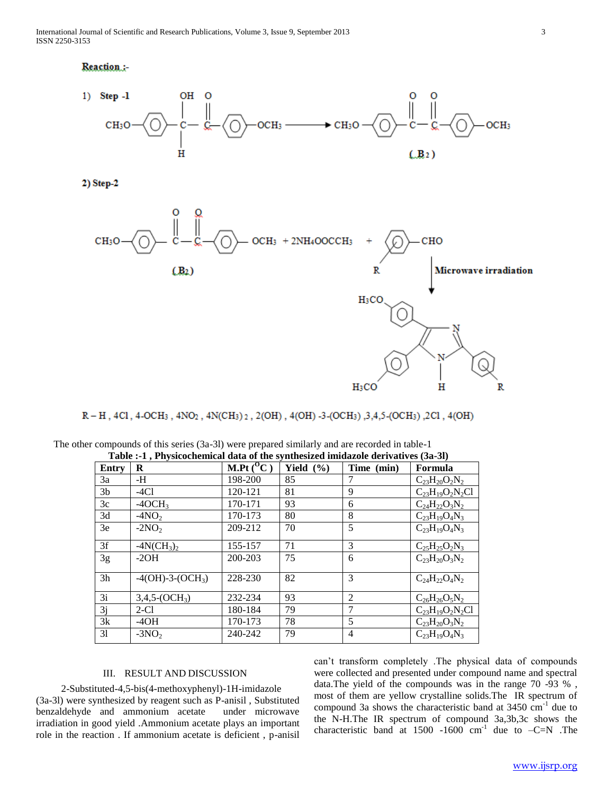## Reaction:



2) Step-2



R-H, 4Cl, 4-OCH<sub>3</sub>, 4NO<sub>2</sub>, 4N(CH<sub>3</sub>)<sub>2</sub>, 2(OH), 4(OH)-3-(OCH<sub>3</sub>), 3,4,5-(OCH<sub>3</sub>), 2Cl, 4(OH)

| Table .-1 , I hysicochemical data of the symmesized imidazoic defivatives (5a-51) |                   |              |               |                |                        |  |
|-----------------------------------------------------------------------------------|-------------------|--------------|---------------|----------------|------------------------|--|
| Entry                                                                             | R                 | M.Pt $(^0C)$ | Yield $(\% )$ | Time (min)     | Formula                |  |
| 3a                                                                                | -H                | 198-200      | 85            |                | $C_{23}H_{20}O_2N_2$   |  |
| 3 <sub>b</sub>                                                                    | $-4Cl$            | 120-121      | 81            | 9              | $C_{23}H_{19}O_2N_2Cl$ |  |
| 3c                                                                                | $-4OCH3$          | 170-171      | 93            | 6              | $C_{24}H_{22}O_3N_2$   |  |
| 3d                                                                                | $-4NO2$           | 170-173      | 80            | 8              | $C_{23}H_{19}O_4N_3$   |  |
| 3e                                                                                | $-2NO2$           | 209-212      | 70            | 5              | $C_{23}H_{19}O_4N_3$   |  |
| 3f                                                                                | $-4N(CH_3)_2$     | 155-157      | 71            | 3              | $C_{25}H_{25}O_2N_3$   |  |
| 3g                                                                                | $-2OH$            | 200-203      | 75            | 6              | $C_{23}H_{20}O_3N_2$   |  |
| 3h                                                                                | $-4(OH)-3-(OCH3)$ | 228-230      | 82            | 3              | $C_{24}H_{22}O_4N_2$   |  |
| 3i                                                                                | $3,4,5-(OCH3)$    | 232-234      | 93            | $\mathfrak{D}$ | $C_{26}H_{26}O_5N_2$   |  |
| 3j                                                                                | $2-C1$            | 180-184      | 79            | 7              | $C_{23}H_{19}O_2N_2Cl$ |  |
| 3k                                                                                | $-4OH$            | 170-173      | 78            | 5              | $C_{23}H_{20}O_3N_2$   |  |
| 31                                                                                | $-3NO2$           | 240-242      | 79            | 4              | $C_{23}H_{19}O_4N_3$   |  |

| The other compounds of this series (3a-3l) were prepared similarly and are recorded in table-1 |                                                                                          |  |  |
|------------------------------------------------------------------------------------------------|------------------------------------------------------------------------------------------|--|--|
|                                                                                                | Toble $\cdot$ 1. Physicochamical data of the synthesized imidezels derivatives $(3a-3b)$ |  |  |

# III. RESULT AND DISCUSSION

 2-Substituted-4,5-bis(4-methoxyphenyl)-1H-imidazole (3a-3l) were synthesized by reagent such as P-anisil , Substituted benzaldehyde and ammonium acetate under microwave irradiation in good yield .Ammonium acetate plays an important role in the reaction . If ammonium acetate is deficient , p-anisil

can't transform completely .The physical data of compounds were collected and presented under compound name and spectral data.The yield of the compounds was in the range 70 -93 % , most of them are yellow crystalline solids.The IR spectrum of compound 3a shows the characteristic band at  $3450 \text{ cm}^{-1}$  due to the N-H.The IR spectrum of compound 3a,3b,3c shows the characteristic band at 1500 -1600  $cm^{-1}$  due to  $-C=N$ . The